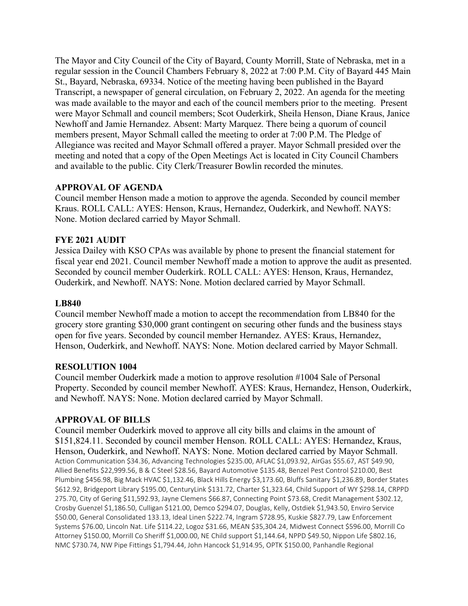The Mayor and City Council of the City of Bayard, County Morrill, State of Nebraska, met in a regular session in the Council Chambers February 8, 2022 at 7:00 P.M. City of Bayard 445 Main St., Bayard, Nebraska, 69334. Notice of the meeting having been published in the Bayard Transcript, a newspaper of general circulation, on February 2, 2022. An agenda for the meeting was made available to the mayor and each of the council members prior to the meeting. Present were Mayor Schmall and council members; Scot Ouderkirk, Sheila Henson, Diane Kraus, Janice Newhoff and Jamie Hernandez. Absent: Marty Marquez. There being a quorum of council members present, Mayor Schmall called the meeting to order at 7:00 P.M. The Pledge of Allegiance was recited and Mayor Schmall offered a prayer. Mayor Schmall presided over the meeting and noted that a copy of the Open Meetings Act is located in City Council Chambers and available to the public. City Clerk/Treasurer Bowlin recorded the minutes.

### **APPROVAL OF AGENDA**

Council member Henson made a motion to approve the agenda. Seconded by council member Kraus. ROLL CALL: AYES: Henson, Kraus, Hernandez, Ouderkirk, and Newhoff. NAYS: None. Motion declared carried by Mayor Schmall.

## **FYE 2021 AUDIT**

Jessica Dailey with KSO CPAs was available by phone to present the financial statement for fiscal year end 2021. Council member Newhoff made a motion to approve the audit as presented. Seconded by council member Ouderkirk. ROLL CALL: AYES: Henson, Kraus, Hernandez, Ouderkirk, and Newhoff. NAYS: None. Motion declared carried by Mayor Schmall.

### **LB840**

Council member Newhoff made a motion to accept the recommendation from LB840 for the grocery store granting \$30,000 grant contingent on securing other funds and the business stays open for five years. Seconded by council member Hernandez. AYES: Kraus, Hernandez, Henson, Ouderkirk, and Newhoff. NAYS: None. Motion declared carried by Mayor Schmall.

### **RESOLUTION 1004**

Council member Ouderkirk made a motion to approve resolution #1004 Sale of Personal Property. Seconded by council member Newhoff. AYES: Kraus, Hernandez, Henson, Ouderkirk, and Newhoff. NAYS: None. Motion declared carried by Mayor Schmall.

### **APPROVAL OF BILLS**

Council member Ouderkirk moved to approve all city bills and claims in the amount of \$151,824.11. Seconded by council member Henson. ROLL CALL: AYES: Hernandez, Kraus, Henson, Ouderkirk, and Newhoff. NAYS: None. Motion declared carried by Mayor Schmall. Action Communication \$34.36, Advancing Technologies \$235.00, AFLAC \$1,093.92, AirGas \$55.67, AST \$49.90, Allied Benefits \$22,999.56, B & C Steel \$28.56, Bayard Automotive \$135.48, Benzel Pest Control \$210.00, Best Plumbing \$456.98, Big Mack HVAC \$1,132.46, Black Hills Energy \$3,173.60, Bluffs Sanitary \$1,236.89, Border States \$612.92, Bridgeport Library \$195.00, CenturyLink \$131.72, Charter \$1,323.64, Child Support of WY \$298.14, CRPPD 275.70, City of Gering \$11,592.93, Jayne Clemens \$66.87, Connecting Point \$73.68, Credit Management \$302.12, Crosby Guenzel \$1,186.50, Culligan \$121.00, Demco \$294.07, Douglas, Kelly, Ostdiek \$1,943.50, Enviro Service \$50.00, General Consolidated 133.13, Ideal Linen \$222.74, Ingram \$728.95, Kuskie \$827.79, Law Enforcement Systems \$76.00, Lincoln Nat. Life \$114.22, Logoz \$31.66, MEAN \$35,304.24, Midwest Connect \$596.00, Morrill Co Attorney \$150.00, Morrill Co Sheriff \$1,000.00, NE Child support \$1,144.64, NPPD \$49.50, Nippon Life \$802.16, NMC \$730.74, NW Pipe Fittings \$1,794.44, John Hancock \$1,914.95, OPTK \$150.00, Panhandle Regional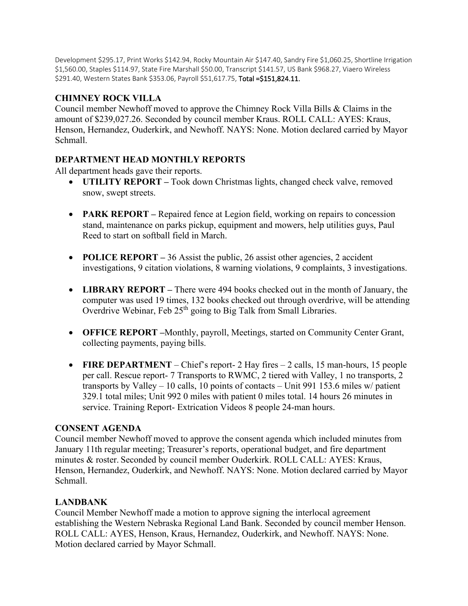Development \$295.17, Print Works \$142.94, Rocky Mountain Air \$147.40, Sandry Fire \$1,060.25, Shortline Irrigation \$1,560.00, Staples \$114.97, State Fire Marshall \$50.00, Transcript \$141.57, US Bank \$968.27, Viaero Wireless \$291.40, Western States Bank \$353.06, Payroll \$51,617.75, Total = \$151,824.11.

# **CHIMNEY ROCK VILLA**

Council member Newhoff moved to approve the Chimney Rock Villa Bills & Claims in the amount of \$239,027.26. Seconded by council member Kraus. ROLL CALL: AYES: Kraus, Henson, Hernandez, Ouderkirk, and Newhoff. NAYS: None. Motion declared carried by Mayor Schmall.

## **DEPARTMENT HEAD MONTHLY REPORTS**

All department heads gave their reports.

- **UTILITY REPORT –** Took down Christmas lights, changed check valve, removed snow, swept streets.
- **PARK REPORT** Repaired fence at Legion field, working on repairs to concession stand, maintenance on parks pickup, equipment and mowers, help utilities guys, Paul Reed to start on softball field in March.
- **POLICE REPORT** 36 Assist the public, 26 assist other agencies, 2 accident investigations, 9 citation violations, 8 warning violations, 9 complaints, 3 investigations.
- **LIBRARY REPORT –** There were 494 books checked out in the month of January, the computer was used 19 times, 132 books checked out through overdrive, will be attending Overdrive Webinar, Feb 25<sup>th</sup> going to Big Talk from Small Libraries.
- **OFFICE REPORT –**Monthly, payroll, Meetings, started on Community Center Grant, collecting payments, paying bills.
- **FIRE DEPARTMENT** Chief's report- 2 Hay fires 2 calls, 15 man-hours, 15 people per call. Rescue report- 7 Transports to RWMC, 2 tiered with Valley, 1 no transports, 2 transports by Valley – 10 calls, 10 points of contacts – Unit 991 153.6 miles w/ patient 329.1 total miles; Unit 992 0 miles with patient 0 miles total. 14 hours 26 minutes in service. Training Report- Extrication Videos 8 people 24-man hours.

## **CONSENT AGENDA**

Council member Newhoff moved to approve the consent agenda which included minutes from January 11th regular meeting; Treasurer's reports, operational budget, and fire department minutes & roster. Seconded by council member Ouderkirk. ROLL CALL: AYES: Kraus, Henson, Hernandez, Ouderkirk, and Newhoff. NAYS: None. Motion declared carried by Mayor Schmall.

## **LANDBANK**

Council Member Newhoff made a motion to approve signing the interlocal agreement establishing the Western Nebraska Regional Land Bank. Seconded by council member Henson. ROLL CALL: AYES, Henson, Kraus, Hernandez, Ouderkirk, and Newhoff. NAYS: None. Motion declared carried by Mayor Schmall.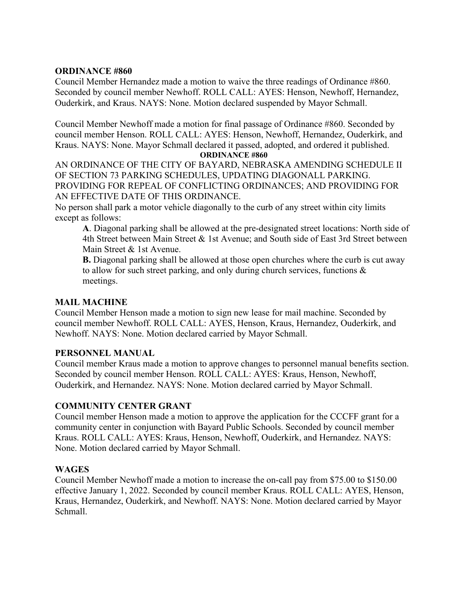### **ORDINANCE #860**

Council Member Hernandez made a motion to waive the three readings of Ordinance #860. Seconded by council member Newhoff. ROLL CALL: AYES: Henson, Newhoff, Hernandez, Ouderkirk, and Kraus. NAYS: None. Motion declared suspended by Mayor Schmall.

Council Member Newhoff made a motion for final passage of Ordinance #860. Seconded by council member Henson. ROLL CALL: AYES: Henson, Newhoff, Hernandez, Ouderkirk, and Kraus. NAYS: None. Mayor Schmall declared it passed, adopted, and ordered it published. **ORDINANCE #860**

AN ORDINANCE OF THE CITY OF BAYARD, NEBRASKA AMENDING SCHEDULE II OF SECTION 73 PARKING SCHEDULES, UPDATING DIAGONALL PARKING. PROVIDING FOR REPEAL OF CONFLICTING ORDINANCES; AND PROVIDING FOR AN EFFECTIVE DATE OF THIS ORDINANCE.

No person shall park a motor vehicle diagonally to the curb of any street within city limits except as follows:

**A**. Diagonal parking shall be allowed at the pre-designated street locations: North side of 4th Street between Main Street & 1st Avenue; and South side of East 3rd Street between Main Street & 1st Avenue.

**B.** Diagonal parking shall be allowed at those open churches where the curb is cut away to allow for such street parking, and only during church services, functions & meetings.

#### **MAIL MACHINE**

Council Member Henson made a motion to sign new lease for mail machine. Seconded by council member Newhoff. ROLL CALL: AYES, Henson, Kraus, Hernandez, Ouderkirk, and Newhoff. NAYS: None. Motion declared carried by Mayor Schmall.

### **PERSONNEL MANUAL**

Council member Kraus made a motion to approve changes to personnel manual benefits section. Seconded by council member Henson. ROLL CALL: AYES: Kraus, Henson, Newhoff, Ouderkirk, and Hernandez. NAYS: None. Motion declared carried by Mayor Schmall.

### **COMMUNITY CENTER GRANT**

Council member Henson made a motion to approve the application for the CCCFF grant for a community center in conjunction with Bayard Public Schools. Seconded by council member Kraus. ROLL CALL: AYES: Kraus, Henson, Newhoff, Ouderkirk, and Hernandez. NAYS: None. Motion declared carried by Mayor Schmall.

### **WAGES**

Council Member Newhoff made a motion to increase the on-call pay from \$75.00 to \$150.00 effective January 1, 2022. Seconded by council member Kraus. ROLL CALL: AYES, Henson, Kraus, Hernandez, Ouderkirk, and Newhoff. NAYS: None. Motion declared carried by Mayor Schmall.